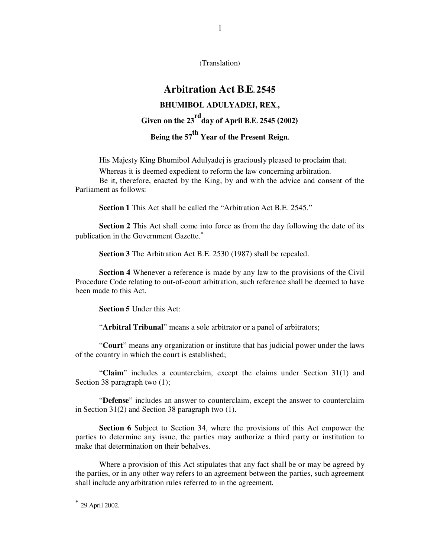(Translation)

1

# **Arbitration Act B.E. 2545 BHUMIBOL ADULYADEJ, REX., Given on the 23rdday of April B.E. 2545 (2002) Being the 57th Year of the Present Reign.**

His Majesty King Bhumibol Adulyadej is graciously pleased to proclaim that:

Whereas it is deemed expedient to reform the law concerning arbitration.

 Be it, therefore, enacted by the King, by and with the advice and consent of the Parliament as follows:

**Section 1 This Act shall be called the "Arbitration Act B.E. 2545."** 

 **Section 2** This Act shall come into force as from the day following the date of its publication in the Government Gazette.<sup>\*</sup>

 **Section 3** The Arbitration Act B.E. 2530 (1987) shall be repealed.

 **Section 4** Whenever a reference is made by any law to the provisions of the Civil Procedure Code relating to out-of-court arbitration, such reference shall be deemed to have been made to this Act.

 **Section 5** Under this Act:

"**Arbitral Tribunal**" means a sole arbitrator or a panel of arbitrators;

 "**Court**" means any organization or institute that has judicial power under the laws of the country in which the court is established;

"**Claim**" includes a counterclaim, except the claims under Section 31(1) and Section 38 paragraph two  $(1)$ ;

 "**Defense**" includes an answer to counterclaim, except the answer to counterclaim in Section 31(2) and Section 38 paragraph two (1).

**Section 6** Subject to Section 34, where the provisions of this Act empower the parties to determine any issue, the parties may authorize a third party or institution to make that determination on their behalves.

 Where a provision of this Act stipulates that any fact shall be or may be agreed by the parties, or in any other way refers to an agreement between the parties, such agreement shall include any arbitration rules referred to in the agreement.

 $\ddot{\phantom{a}}$ 

<sup>∗</sup> 29 April 2002.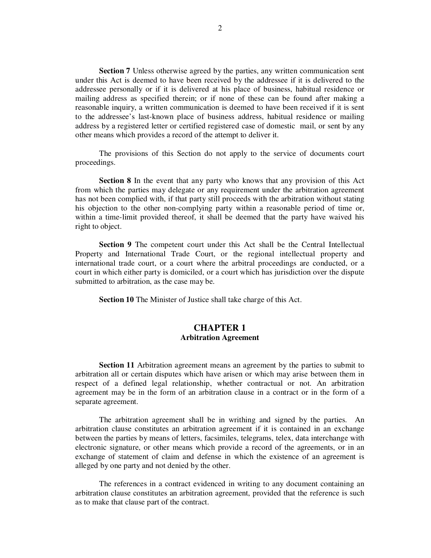**Section 7** Unless otherwise agreed by the parties, any written communication sent under this Act is deemed to have been received by the addressee if it is delivered to the addressee personally or if it is delivered at his place of business, habitual residence or mailing address as specified therein; or if none of these can be found after making a reasonable inquiry, a written communication is deemed to have been received if it is sent to the addressee's last-known place of business address, habitual residence or mailing address by a registered letter or certified registered case of domestic mail, or sent by any other means which provides a record of the attempt to deliver it.

 The provisions of this Section do not apply to the service of documents court proceedings.

**Section 8** In the event that any party who knows that any provision of this Act from which the parties may delegate or any requirement under the arbitration agreement has not been complied with, if that party still proceeds with the arbitration without stating his objection to the other non-complying party within a reasonable period of time or, within a time-limit provided thereof, it shall be deemed that the party have waived his right to object.

**Section 9** The competent court under this Act shall be the Central Intellectual Property and International Trade Court, or the regional intellectual property and international trade court, or a court where the arbitral proceedings are conducted, or a court in which either party is domiciled, or a court which has jurisdiction over the dispute submitted to arbitration, as the case may be.

**Section 10** The Minister of Justice shall take charge of this Act.

## **CHAPTER 1 Arbitration Agreement**

**Section 11** Arbitration agreement means an agreement by the parties to submit to arbitration all or certain disputes which have arisen or which may arise between them in respect of a defined legal relationship, whether contractual or not. An arbitration agreement may be in the form of an arbitration clause in a contract or in the form of a separate agreement.

 The arbitration agreement shall be in writhing and signed by the parties. An arbitration clause constitutes an arbitration agreement if it is contained in an exchange between the parties by means of letters, facsimiles, telegrams, telex, data interchange with electronic signature, or other means which provide a record of the agreements, or in an exchange of statement of claim and defense in which the existence of an agreement is alleged by one party and not denied by the other.

 The references in a contract evidenced in writing to any document containing an arbitration clause constitutes an arbitration agreement, provided that the reference is such as to make that clause part of the contract.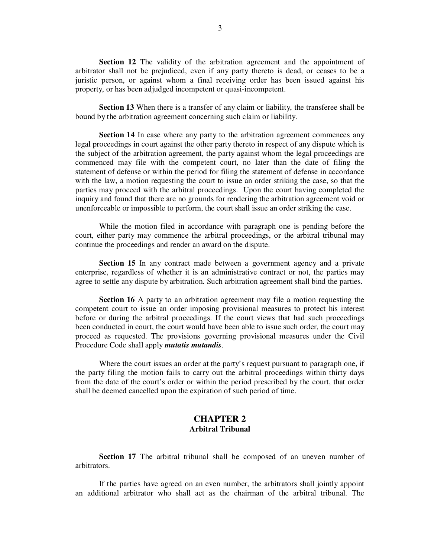**Section 12** The validity of the arbitration agreement and the appointment of arbitrator shall not be prejudiced, even if any party thereto is dead, or ceases to be a juristic person, or against whom a final receiving order has been issued against his property, or has been adjudged incompetent or quasi-incompetent.

**Section 13** When there is a transfer of any claim or liability, the transferee shall be bound by the arbitration agreement concerning such claim or liability.

**Section 14** In case where any party to the arbitration agreement commences any legal proceedings in court against the other party thereto in respect of any dispute which is the subject of the arbitration agreement, the party against whom the legal proceedings are commenced may file with the competent court, no later than the date of filing the statement of defense or within the period for filing the statement of defense in accordance with the law, a motion requesting the court to issue an order striking the case, so that the parties may proceed with the arbitral proceedings. Upon the court having completed the inquiry and found that there are no grounds for rendering the arbitration agreement void or unenforceable or impossible to perform, the court shall issue an order striking the case.

 While the motion filed in accordance with paragraph one is pending before the court, either party may commence the arbitral proceedings, or the arbitral tribunal may continue the proceedings and render an award on the dispute.

**Section 15** In any contract made between a government agency and a private enterprise, regardless of whether it is an administrative contract or not, the parties may agree to settle any dispute by arbitration. Such arbitration agreement shall bind the parties.

**Section 16** A party to an arbitration agreement may file a motion requesting the competent court to issue an order imposing provisional measures to protect his interest before or during the arbitral proceedings. If the court views that had such proceedings been conducted in court, the court would have been able to issue such order, the court may proceed as requested. The provisions governing provisional measures under the Civil Procedure Code shall apply *mutatis mutandis*.

 Where the court issues an order at the party's request pursuant to paragraph one, if the party filing the motion fails to carry out the arbitral proceedings within thirty days from the date of the court's order or within the period prescribed by the court, that order shall be deemed cancelled upon the expiration of such period of time.

## **CHAPTER 2 Arbitral Tribunal**

**Section 17** The arbitral tribunal shall be composed of an uneven number of arbitrators.

 If the parties have agreed on an even number, the arbitrators shall jointly appoint an additional arbitrator who shall act as the chairman of the arbitral tribunal. The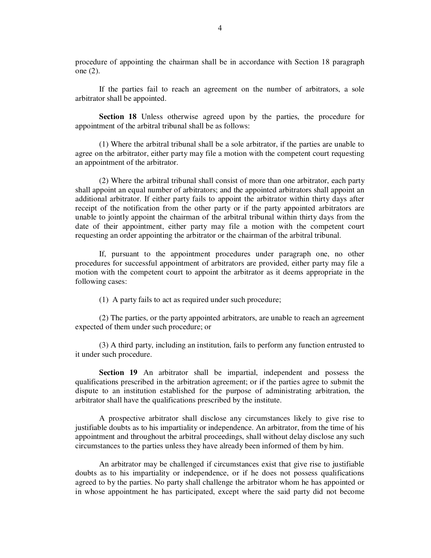procedure of appointing the chairman shall be in accordance with Section 18 paragraph one (2).

 If the parties fail to reach an agreement on the number of arbitrators, a sole arbitrator shall be appointed.

 **Section 18** Unless otherwise agreed upon by the parties, the procedure for appointment of the arbitral tribunal shall be as follows:

 (1) Where the arbitral tribunal shall be a sole arbitrator, if the parties are unable to agree on the arbitrator, either party may file a motion with the competent court requesting an appointment of the arbitrator.

 (2) Where the arbitral tribunal shall consist of more than one arbitrator, each party shall appoint an equal number of arbitrators; and the appointed arbitrators shall appoint an additional arbitrator. If either party fails to appoint the arbitrator within thirty days after receipt of the notification from the other party or if the party appointed arbitrators are unable to jointly appoint the chairman of the arbitral tribunal within thirty days from the date of their appointment, either party may file a motion with the competent court requesting an order appointing the arbitrator or the chairman of the arbitral tribunal.

 If, pursuant to the appointment procedures under paragraph one, no other procedures for successful appointment of arbitrators are provided, either party may file a motion with the competent court to appoint the arbitrator as it deems appropriate in the following cases:

(1) A party fails to act as required under such procedure;

 (2) The parties, or the party appointed arbitrators, are unable to reach an agreement expected of them under such procedure; or

 (3) A third party, including an institution, fails to perform any function entrusted to it under such procedure.

 **Section 19** An arbitrator shall be impartial, independent and possess the qualifications prescribed in the arbitration agreement; or if the parties agree to submit the dispute to an institution established for the purpose of administrating arbitration, the arbitrator shall have the qualifications prescribed by the institute.

 A prospective arbitrator shall disclose any circumstances likely to give rise to justifiable doubts as to his impartiality or independence. An arbitrator, from the time of his appointment and throughout the arbitral proceedings, shall without delay disclose any such circumstances to the parties unless they have already been informed of them by him.

 An arbitrator may be challenged if circumstances exist that give rise to justifiable doubts as to his impartiality or independence, or if he does not possess qualifications agreed to by the parties. No party shall challenge the arbitrator whom he has appointed or in whose appointment he has participated, except where the said party did not become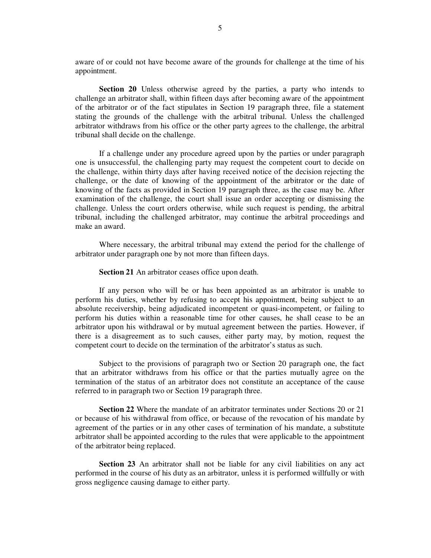aware of or could not have become aware of the grounds for challenge at the time of his appointment.

 **Section 20** Unless otherwise agreed by the parties, a party who intends to challenge an arbitrator shall, within fifteen days after becoming aware of the appointment of the arbitrator or of the fact stipulates in Section 19 paragraph three, file a statement stating the grounds of the challenge with the arbitral tribunal. Unless the challenged arbitrator withdraws from his office or the other party agrees to the challenge, the arbitral tribunal shall decide on the challenge.

 If a challenge under any procedure agreed upon by the parties or under paragraph one is unsuccessful, the challenging party may request the competent court to decide on the challenge, within thirty days after having received notice of the decision rejecting the challenge, or the date of knowing of the appointment of the arbitrator or the date of knowing of the facts as provided in Section 19 paragraph three, as the case may be. After examination of the challenge, the court shall issue an order accepting or dismissing the challenge. Unless the court orders otherwise, while such request is pending, the arbitral tribunal, including the challenged arbitrator, may continue the arbitral proceedings and make an award.

 Where necessary, the arbitral tribunal may extend the period for the challenge of arbitrator under paragraph one by not more than fifteen days.

 **Section 21** An arbitrator ceases office upon death.

 If any person who will be or has been appointed as an arbitrator is unable to perform his duties, whether by refusing to accept his appointment, being subject to an absolute receivership, being adjudicated incompetent or quasi-incompetent, or failing to perform his duties within a reasonable time for other causes, he shall cease to be an arbitrator upon his withdrawal or by mutual agreement between the parties. However, if there is a disagreement as to such causes, either party may, by motion, request the competent court to decide on the termination of the arbitrator's status as such.

 Subject to the provisions of paragraph two or Section 20 paragraph one, the fact that an arbitrator withdraws from his office or that the parties mutually agree on the termination of the status of an arbitrator does not constitute an acceptance of the cause referred to in paragraph two or Section 19 paragraph three.

 **Section 22** Where the mandate of an arbitrator terminates under Sections 20 or 21 or because of his withdrawal from office, or because of the revocation of his mandate by agreement of the parties or in any other cases of termination of his mandate, a substitute arbitrator shall be appointed according to the rules that were applicable to the appointment of the arbitrator being replaced.

**Section 23** An arbitrator shall not be liable for any civil liabilities on any act performed in the course of his duty as an arbitrator, unless it is performed willfully or with gross negligence causing damage to either party.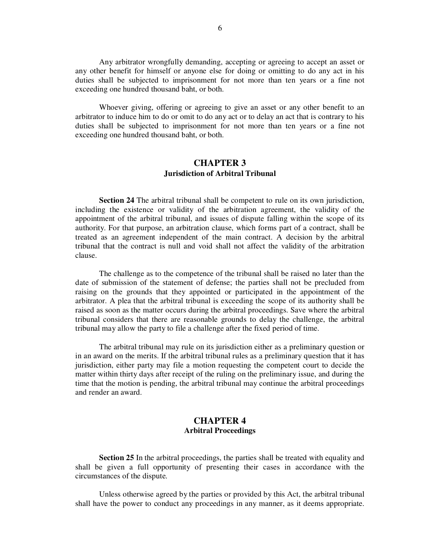Any arbitrator wrongfully demanding, accepting or agreeing to accept an asset or any other benefit for himself or anyone else for doing or omitting to do any act in his duties shall be subjected to imprisonment for not more than ten years or a fine not exceeding one hundred thousand baht, or both.

 Whoever giving, offering or agreeing to give an asset or any other benefit to an arbitrator to induce him to do or omit to do any act or to delay an act that is contrary to his duties shall be subjected to imprisonment for not more than ten years or a fine not exceeding one hundred thousand baht, or both.

## **CHAPTER 3 Jurisdiction of Arbitral Tribunal**

**Section 24** The arbitral tribunal shall be competent to rule on its own jurisdiction, including the existence or validity of the arbitration agreement, the validity of the appointment of the arbitral tribunal, and issues of dispute falling within the scope of its authority. For that purpose, an arbitration clause, which forms part of a contract, shall be treated as an agreement independent of the main contract. A decision by the arbitral tribunal that the contract is null and void shall not affect the validity of the arbitration clause.

 The challenge as to the competence of the tribunal shall be raised no later than the date of submission of the statement of defense; the parties shall not be precluded from raising on the grounds that they appointed or participated in the appointment of the arbitrator. A plea that the arbitral tribunal is exceeding the scope of its authority shall be raised as soon as the matter occurs during the arbitral proceedings. Save where the arbitral tribunal considers that there are reasonable grounds to delay the challenge, the arbitral tribunal may allow the party to file a challenge after the fixed period of time.

 The arbitral tribunal may rule on its jurisdiction either as a preliminary question or in an award on the merits. If the arbitral tribunal rules as a preliminary question that it has jurisdiction, either party may file a motion requesting the competent court to decide the matter within thirty days after receipt of the ruling on the preliminary issue, and during the time that the motion is pending, the arbitral tribunal may continue the arbitral proceedings and render an award.

# **CHAPTER 4 Arbitral Proceedings**

 **Section 25** In the arbitral proceedings, the parties shall be treated with equality and shall be given a full opportunity of presenting their cases in accordance with the circumstances of the dispute.

 Unless otherwise agreed by the parties or provided by this Act, the arbitral tribunal shall have the power to conduct any proceedings in any manner, as it deems appropriate.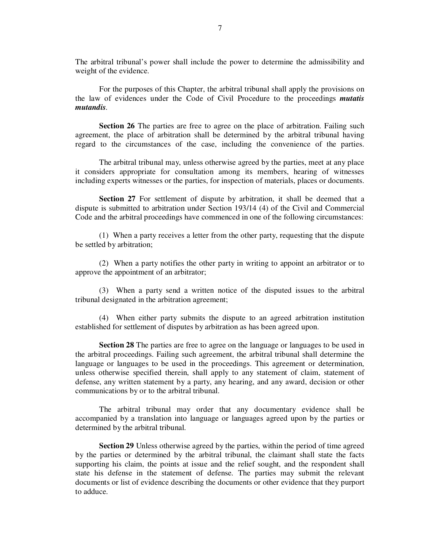The arbitral tribunal's power shall include the power to determine the admissibility and weight of the evidence.

 For the purposes of this Chapter, the arbitral tribunal shall apply the provisions on the law of evidences under the Code of Civil Procedure to the proceedings *mutatis mutandis.*

**Section 26** The parties are free to agree on the place of arbitration. Failing such agreement, the place of arbitration shall be determined by the arbitral tribunal having regard to the circumstances of the case, including the convenience of the parties.

 The arbitral tribunal may, unless otherwise agreed by the parties, meet at any place it considers appropriate for consultation among its members, hearing of witnesses including experts witnesses or the parties, for inspection of materials, places or documents.

**Section 27** For settlement of dispute by arbitration, it shall be deemed that a dispute is submitted to arbitration under Section 193/14 (4) of the Civil and Commercial Code and the arbitral proceedings have commenced in one of the following circumstances:

 (1) When a party receives a letter from the other party, requesting that the dispute be settled by arbitration;

 (2) When a party notifies the other party in writing to appoint an arbitrator or to approve the appointment of an arbitrator;

 (3) When a party send a written notice of the disputed issues to the arbitral tribunal designated in the arbitration agreement;

 (4) When either party submits the dispute to an agreed arbitration institution established for settlement of disputes by arbitration as has been agreed upon.

 **Section 28** The parties are free to agree on the language or languages to be used in the arbitral proceedings. Failing such agreement, the arbitral tribunal shall determine the language or languages to be used in the proceedings. This agreement or determination, unless otherwise specified therein, shall apply to any statement of claim, statement of defense, any written statement by a party, any hearing, and any award, decision or other communications by or to the arbitral tribunal.

 The arbitral tribunal may order that any documentary evidence shall be accompanied by a translation into language or languages agreed upon by the parties or determined by the arbitral tribunal.

 **Section 29** Unless otherwise agreed by the parties, within the period of time agreed by the parties or determined by the arbitral tribunal, the claimant shall state the facts supporting his claim, the points at issue and the relief sought, and the respondent shall state his defense in the statement of defense. The parties may submit the relevant documents or list of evidence describing the documents or other evidence that they purport to adduce.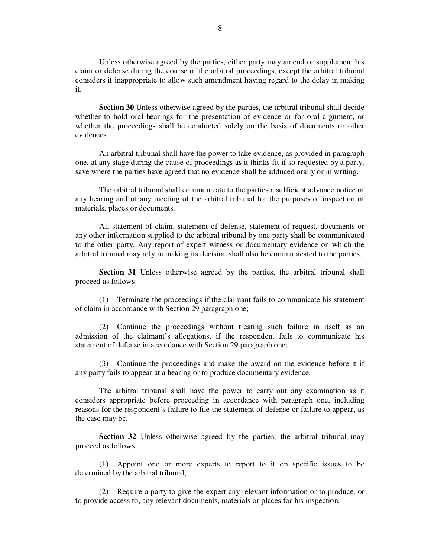Unless otherwise agreed by the parties, either party may amend or supplement his claim or defense during the course of the arbitral proceedings, except the arbitral tribunal considers it inappropriate to allow such amendment having regard to the delay in making it.

**Section 30** Unless otherwise agreed by the parties, the arbitral tribunal shall decide whether to hold oral hearings for the presentation of evidence or for oral argument, or whether the proceedings shall be conducted solely on the basis of documents or other evidences.

 An arbitral tribunal shall have the power to take evidence, as provided in paragraph one, at any stage during the cause of proceedings as it thinks fit if so requested by a party, save where the parties have agreed that no evidence shall be adduced orally or in writing.

 The arbitral tribunal shall communicate to the parties a sufficient advance notice of any hearing and of any meeting of the arbitral tribunal for the purposes of inspection of materials, places or documents.

 All statement of claim, statement of defense, statement of request, documents or any other information supplied to the arbitral tribunal by one party shall be communicated to the other party. Any report of expert witness or documentary evidence on which the arbitral tribunal may rely in making its decision shall also be communicated to the parties.

**Section 31** Unless otherwise agreed by the parties, the arbitral tribunal shall proceed as follows:

 (1) Terminate the proceedings if the claimant fails to communicate his statement of claim in accordance with Section 29 paragraph one;

 (2) Continue the proceedings without treating such failure in itself as an admission of the claimant's allegations, if the respondent fails to communicate his statement of defense in accordance with Section 29 paragraph one;

 (3) Continue the proceedings and make the award on the evidence before it if any party fails to appear at a hearing or to produce documentary evidence.

 The arbitral tribunal shall have the power to carry out any examination as it considers appropriate before proceeding in accordance with paragraph one, including reasons for the respondent's failure to file the statement of defense or failure to appear, as the case may be.

**Section 32** Unless otherwise agreed by the parties, the arbitral tribunal may proceed as follows:

 (1) Appoint one or more experts to report to it on specific issues to be determined by the arbitral tribunal;

 (2) Require a party to give the expert any relevant information or to produce, or to provide access to, any relevant documents, materials or places for his inspection.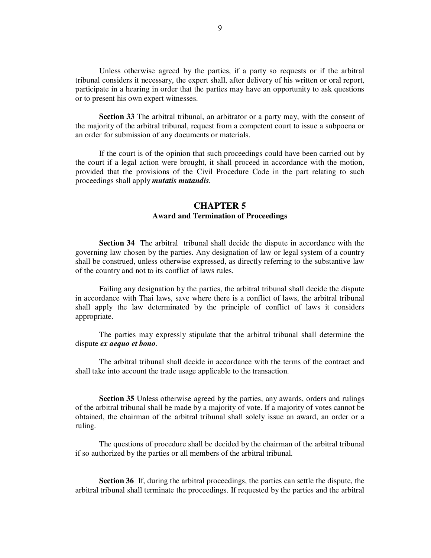Unless otherwise agreed by the parties, if a party so requests or if the arbitral tribunal considers it necessary, the expert shall, after delivery of his written or oral report, participate in a hearing in order that the parties may have an opportunity to ask questions or to present his own expert witnesses.

 **Section 33** The arbitral tribunal, an arbitrator or a party may, with the consent of the majority of the arbitral tribunal, request from a competent court to issue a subpoena or an order for submission of any documents or materials.

 If the court is of the opinion that such proceedings could have been carried out by the court if a legal action were brought, it shall proceed in accordance with the motion, provided that the provisions of the Civil Procedure Code in the part relating to such proceedings shall apply *mutatis mutandis.* 

## **CHAPTER 5 Award and Termination of Proceedings**

**Section 34** The arbitral tribunal shall decide the dispute in accordance with the governing law chosen by the parties. Any designation of law or legal system of a country shall be construed, unless otherwise expressed, as directly referring to the substantive law of the country and not to its conflict of laws rules.

 Failing any designation by the parties, the arbitral tribunal shall decide the dispute in accordance with Thai laws, save where there is a conflict of laws, the arbitral tribunal shall apply the law determinated by the principle of conflict of laws it considers appropriate.

 The parties may expressly stipulate that the arbitral tribunal shall determine the dispute *ex aequo et bono*.

 The arbitral tribunal shall decide in accordance with the terms of the contract and shall take into account the trade usage applicable to the transaction.

**Section 35** Unless otherwise agreed by the parties, any awards, orders and rulings of the arbitral tribunal shall be made by a majority of vote. If a majority of votes cannot be obtained, the chairman of the arbitral tribunal shall solely issue an award, an order or a ruling.

 The questions of procedure shall be decided by the chairman of the arbitral tribunal if so authorized by the parties or all members of the arbitral tribunal.

 **Section 36** If, during the arbitral proceedings, the parties can settle the dispute, the arbitral tribunal shall terminate the proceedings. If requested by the parties and the arbitral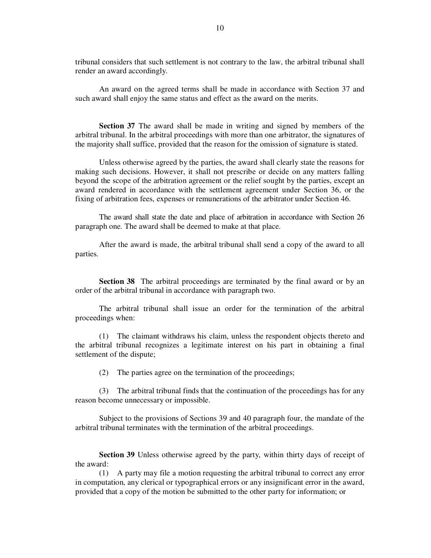tribunal considers that such settlement is not contrary to the law, the arbitral tribunal shall render an award accordingly.

 An award on the agreed terms shall be made in accordance with Section 37 and such award shall enjoy the same status and effect as the award on the merits.

 **Section 37** The award shall be made in writing and signed by members of the arbitral tribunal. In the arbitral proceedings with more than one arbitrator, the signatures of the majority shall suffice, provided that the reason for the omission of signature is stated.

 Unless otherwise agreed by the parties, the award shall clearly state the reasons for making such decisions. However, it shall not prescribe or decide on any matters falling beyond the scope of the arbitration agreement or the relief sought by the parties, except an award rendered in accordance with the settlement agreement under Section 36, or the fixing of arbitration fees, expenses or remunerations of the arbitrator under Section 46.

 The award shall state the date and place of arbitration in accordance with Section 26 paragraph one. The award shall be deemed to make at that place.

 After the award is made, the arbitral tribunal shall send a copy of the award to all parties.

**Section 38** The arbitral proceedings are terminated by the final award or by an order of the arbitral tribunal in accordance with paragraph two.

 The arbitral tribunal shall issue an order for the termination of the arbitral proceedings when:

 (1) The claimant withdraws his claim, unless the respondent objects thereto and the arbitral tribunal recognizes a legitimate interest on his part in obtaining a final settlement of the dispute;

(2) The parties agree on the termination of the proceedings;

 (3) The arbitral tribunal finds that the continuation of the proceedings has for any reason become unnecessary or impossible.

 Subject to the provisions of Sections 39 and 40 paragraph four, the mandate of the arbitral tribunal terminates with the termination of the arbitral proceedings.

 **Section 39** Unless otherwise agreed by the party, within thirty days of receipt of the award:

 (1) A party may file a motion requesting the arbitral tribunal to correct any error in computation, any clerical or typographical errors or any insignificant error in the award, provided that a copy of the motion be submitted to the other party for information; or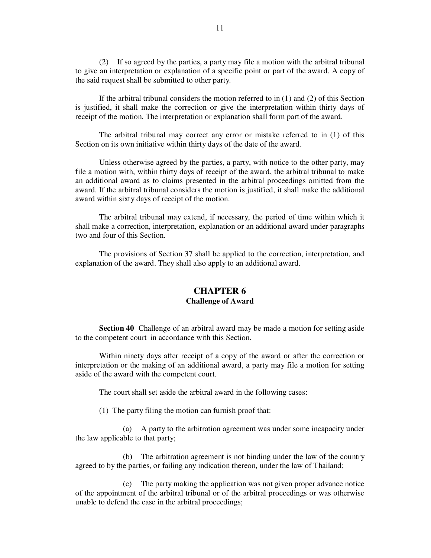(2) If so agreed by the parties, a party may file a motion with the arbitral tribunal to give an interpretation or explanation of a specific point or part of the award. A copy of the said request shall be submitted to other party.

If the arbitral tribunal considers the motion referred to in  $(1)$  and  $(2)$  of this Section is justified, it shall make the correction or give the interpretation within thirty days of receipt of the motion. The interpretation or explanation shall form part of the award.

 The arbitral tribunal may correct any error or mistake referred to in (1) of this Section on its own initiative within thirty days of the date of the award.

 Unless otherwise agreed by the parties, a party, with notice to the other party, may file a motion with, within thirty days of receipt of the award, the arbitral tribunal to make an additional award as to claims presented in the arbitral proceedings omitted from the award. If the arbitral tribunal considers the motion is justified, it shall make the additional award within sixty days of receipt of the motion.

 The arbitral tribunal may extend, if necessary, the period of time within which it shall make a correction, interpretation, explanation or an additional award under paragraphs two and four of this Section.

 The provisions of Section 37 shall be applied to the correction, interpretation, and explanation of the award. They shall also apply to an additional award.

#### **CHAPTER 6 Challenge of Award**

 **Section 40** Challenge of an arbitral award may be made a motion for setting aside to the competent court in accordance with this Section.

 Within ninety days after receipt of a copy of the award or after the correction or interpretation or the making of an additional award, a party may file a motion for setting aside of the award with the competent court.

The court shall set aside the arbitral award in the following cases:

(1) The party filing the motion can furnish proof that:

 (a) A party to the arbitration agreement was under some incapacity under the law applicable to that party;

 (b) The arbitration agreement is not binding under the law of the country agreed to by the parties, or failing any indication thereon, under the law of Thailand;

 (c) The party making the application was not given proper advance notice of the appointment of the arbitral tribunal or of the arbitral proceedings or was otherwise unable to defend the case in the arbitral proceedings;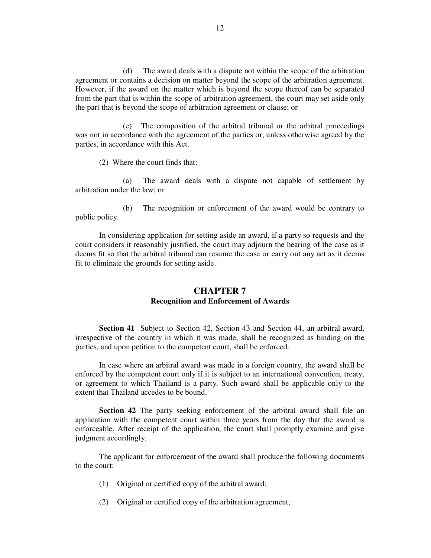(d) The award deals with a dispute not within the scope of the arbitration agreement or contains a decision on matter beyond the scope of the arbitration agreement. However, if the award on the matter which is beyond the scope thereof can be separated from the part that is within the scope of arbitration agreement, the court may set aside only the part that is beyond the scope of arbitration agreement or clause; or

 (e) The composition of the arbitral tribunal or the arbitral proceedings was not in accordance with the agreement of the parties or, unless otherwise agreed by the parties, in accordance with this Act.

(2) Where the court finds that:

 (a) The award deals with a dispute not capable of settlement by arbitration under the law; or

 (b) The recognition or enforcement of the award would be contrary to public policy.

 In considering application for setting aside an award, if a party so requests and the court considers it reasonably justified, the court may adjourn the hearing of the case as it deems fit so that the arbitral tribunal can resume the case or carry out any act as it deems fit to eliminate the grounds for setting aside.

## **CHAPTER 7 Recognition and Enforcement of Awards**

 **Section 41** Subject to Section 42, Section 43 and Section 44, an arbitral award, irrespective of the country in which it was made, shall be recognized as binding on the parties, and upon petition to the competent court, shall be enforced.

 In case where an arbitral award was made in a foreign country, the award shall be enforced by the competent court only if it is subject to an international convention, treaty, or agreement to which Thailand is a party. Such award shall be applicable only to the extent that Thailand accedes to be bound.

**Section 42** The party seeking enforcement of the arbitral award shall file an application with the competent court within three years from the day that the award is enforceable. After receipt of the application, the court shall promptly examine and give judgment accordingly.

 The applicant for enforcement of the award shall produce the following documents to the court:

- (1) Original or certified copy of the arbitral award;
- (2) Original or certified copy of the arbitration agreement;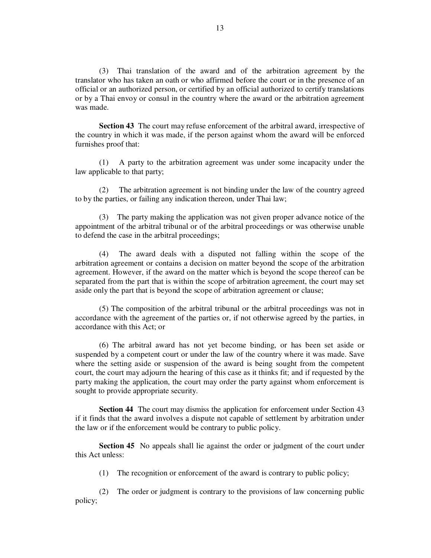(3) Thai translation of the award and of the arbitration agreement by the translator who has taken an oath or who affirmed before the court or in the presence of an official or an authorized person, or certified by an official authorized to certify translations or by a Thai envoy or consul in the country where the award or the arbitration agreement was made.

**Section 43** The court may refuse enforcement of the arbitral award, irrespective of the country in which it was made, if the person against whom the award will be enforced furnishes proof that:

 (1) A party to the arbitration agreement was under some incapacity under the law applicable to that party;

 (2) The arbitration agreement is not binding under the law of the country agreed to by the parties, or failing any indication thereon, under Thai law;

 (3) The party making the application was not given proper advance notice of the appointment of the arbitral tribunal or of the arbitral proceedings or was otherwise unable to defend the case in the arbitral proceedings;

 (4) The award deals with a disputed not falling within the scope of the arbitration agreement or contains a decision on matter beyond the scope of the arbitration agreement. However, if the award on the matter which is beyond the scope thereof can be separated from the part that is within the scope of arbitration agreement, the court may set aside only the part that is beyond the scope of arbitration agreement or clause;

 (5) The composition of the arbitral tribunal or the arbitral proceedings was not in accordance with the agreement of the parties or, if not otherwise agreed by the parties, in accordance with this Act; or

 (6) The arbitral award has not yet become binding, or has been set aside or suspended by a competent court or under the law of the country where it was made. Save where the setting aside or suspension of the award is being sought from the competent court, the court may adjourn the hearing of this case as it thinks fit; and if requested by the party making the application, the court may order the party against whom enforcement is sought to provide appropriate security.

**Section 44** The court may dismiss the application for enforcement under Section 43 if it finds that the award involves a dispute not capable of settlement by arbitration under the law or if the enforcement would be contrary to public policy.

**Section 45** No appeals shall lie against the order or judgment of the court under this Act unless:

(1) The recognition or enforcement of the award is contrary to public policy;

 (2) The order or judgment is contrary to the provisions of law concerning public policy;